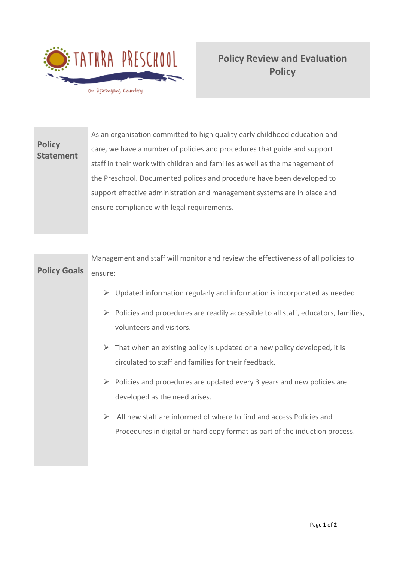

**Policy Review and Evaluation Policy** 

**Policy Statement** As an organisation committed to high quality early childhood education and care, we have a number of policies and procedures that guide and support staff in their work with children and families as well as the management of the Preschool. Documented polices and procedure have been developed to support effective administration and management systems are in place and ensure compliance with legal requirements.

|                     | Management and staff will monitor and review the effectiveness of all policies to                                                                       |
|---------------------|---------------------------------------------------------------------------------------------------------------------------------------------------------|
| <b>Policy Goals</b> | ensure:                                                                                                                                                 |
|                     | $\triangleright$ Updated information regularly and information is incorporated as needed                                                                |
|                     | Policies and procedures are readily accessible to all staff, educators, families,<br>$\blacktriangleright$<br>volunteers and visitors.                  |
|                     | $\triangleright$ That when an existing policy is updated or a new policy developed, it is<br>circulated to staff and families for their feedback.       |
|                     | $\triangleright$ Policies and procedures are updated every 3 years and new policies are<br>developed as the need arises.                                |
|                     | All new staff are informed of where to find and access Policies and<br>➤<br>Procedures in digital or hard copy format as part of the induction process. |